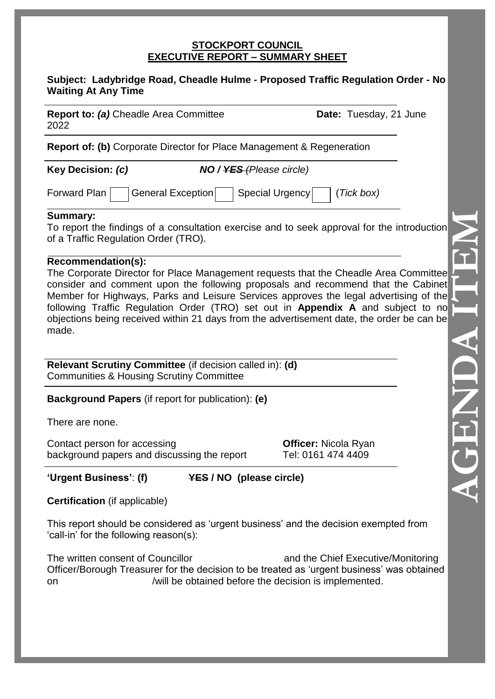### **STOCKPORT COUNCIL EXECUTIVE REPORT – SUMMARY SHEET**

### **Subject: Ladybridge Road, Cheadle Hulme - Proposed Traffic Regulation Order - No Waiting At Any Time**

**Report to: (a)** Cheadle Area Committee **Date:** Tuesday, 21 June 2022

**Report of: (b)** Corporate Director for Place Management & Regeneration

**Key Decision:** *(c) NO / YES (Please circle)*

Forward Plan General Exception Special Urgency (*Tick box*)

# **Summary:**

To report the findings of a consultation exercise and to seek approval for the introduction of a Traffic Regulation Order (TRO).

# **Recommendation(s):**

The Corporate Director for Place Management requests that the Cheadle Area Committee consider and comment upon the following proposals and recommend that the Cabinet Member for Highways, Parks and Leisure Services approves the legal advertising of the following Traffic Regulation Order (TRO) set out in **Appendix A** and subject to no objections being received within 21 days from the advertisement date, the order be can be made.

**Relevant Scrutiny Committee** (if decision called in): **(d)** Communities & Housing Scrutiny Committee

**Background Papers** (if report for publication): **(e)**

There are none.

Contact person for accessing **Officer:** Nicola Ryan background papers and discussing the report Tel: 0161 474 4409

**'Urgent Business'**: **(f) YES / NO (please circle)**

**Certification** (if applicable)

This report should be considered as 'urgent business' and the decision exempted from 'call-in' for the following reason(s):

The written consent of Councillor and the Chief Executive/Monitoring Officer/Borough Treasurer for the decision to be treated as 'urgent business' was obtained on /will be obtained before the decision is implemented.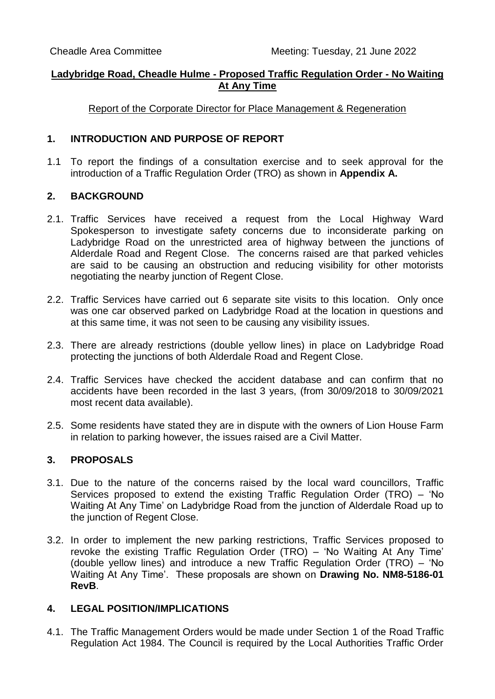## **Ladybridge Road, Cheadle Hulme - Proposed Traffic Regulation Order - No Waiting At Any Time**

Report of the Corporate Director for Place Management & Regeneration

### **1. INTRODUCTION AND PURPOSE OF REPORT**

1.1 To report the findings of a consultation exercise and to seek approval for the introduction of a Traffic Regulation Order (TRO) as shown in **Appendix A.**

### **2. BACKGROUND**

- 2.1. Traffic Services have received a request from the Local Highway Ward Spokesperson to investigate safety concerns due to inconsiderate parking on Ladybridge Road on the unrestricted area of highway between the junctions of Alderdale Road and Regent Close. The concerns raised are that parked vehicles are said to be causing an obstruction and reducing visibility for other motorists negotiating the nearby junction of Regent Close.
- 2.2. Traffic Services have carried out 6 separate site visits to this location. Only once was one car observed parked on Ladybridge Road at the location in questions and at this same time, it was not seen to be causing any visibility issues.
- 2.3. There are already restrictions (double yellow lines) in place on Ladybridge Road protecting the junctions of both Alderdale Road and Regent Close.
- 2.4. Traffic Services have checked the accident database and can confirm that no accidents have been recorded in the last 3 years, (from 30/09/2018 to 30/09/2021 most recent data available).
- 2.5. Some residents have stated they are in dispute with the owners of Lion House Farm in relation to parking however, the issues raised are a Civil Matter.

## **3. PROPOSALS**

- 3.1. Due to the nature of the concerns raised by the local ward councillors, Traffic Services proposed to extend the existing Traffic Regulation Order (TRO) – 'No Waiting At Any Time' on Ladybridge Road from the junction of Alderdale Road up to the junction of Regent Close.
- 3.2. In order to implement the new parking restrictions, Traffic Services proposed to revoke the existing Traffic Regulation Order (TRO) – 'No Waiting At Any Time' (double yellow lines) and introduce a new Traffic Regulation Order (TRO) – 'No Waiting At Any Time'. These proposals are shown on **Drawing No. NM8-5186-01 RevB**.

### **4. LEGAL POSITION/IMPLICATIONS**

4.1. The Traffic Management Orders would be made under Section 1 of the Road Traffic Regulation Act 1984. The Council is required by the Local Authorities Traffic Order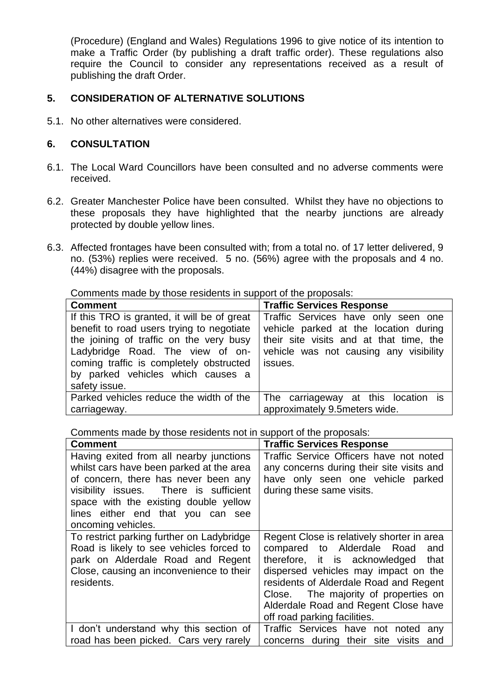(Procedure) (England and Wales) Regulations 1996 to give notice of its intention to make a Traffic Order (by publishing a draft traffic order). These regulations also require the Council to consider any representations received as a result of publishing the draft Order.

## **5. CONSIDERATION OF ALTERNATIVE SOLUTIONS**

5.1. No other alternatives were considered.

## **6. CONSULTATION**

- 6.1. The Local Ward Councillors have been consulted and no adverse comments were received.
- 6.2. Greater Manchester Police have been consulted. Whilst they have no objections to these proposals they have highlighted that the nearby junctions are already protected by double yellow lines.
- 6.3. Affected frontages have been consulted with; from a total no. of 17 letter delivered, 9 no. (53%) replies were received. 5 no. (56%) agree with the proposals and 4 no. (44%) disagree with the proposals.

Comments made by those residents in support of the proposals:

| <b>Comment</b>                              | <b>Traffic Services Response</b>        |
|---------------------------------------------|-----------------------------------------|
| If this TRO is granted, it will be of great | Traffic Services have only seen one     |
| benefit to road users trying to negotiate   | vehicle parked at the location during   |
| the joining of traffic on the very busy     | their site visits and at that time, the |
| Ladybridge Road. The view of on-            | vehicle was not causing any visibility  |
| coming traffic is completely obstructed     | issues.                                 |
| by parked vehicles which causes a           |                                         |
| safety issue.                               |                                         |
| Parked vehicles reduce the width of the     | The carriageway at this location is     |
| carriageway.                                | approximately 9.5meters wide.           |

Comments made by those residents not in support of the proposals:

| <b>Comment</b>                                                                                                                                                                                                                                                            | <b>Traffic Services Response</b>                                                                                                                                                                                                                                                                                           |
|---------------------------------------------------------------------------------------------------------------------------------------------------------------------------------------------------------------------------------------------------------------------------|----------------------------------------------------------------------------------------------------------------------------------------------------------------------------------------------------------------------------------------------------------------------------------------------------------------------------|
| Having exited from all nearby junctions<br>whilst cars have been parked at the area<br>of concern, there has never been any<br>visibility issues. There is sufficient<br>space with the existing double yellow<br>lines either end that you can see<br>oncoming vehicles. | Traffic Service Officers have not noted<br>any concerns during their site visits and<br>have only seen one vehicle parked<br>during these same visits.                                                                                                                                                                     |
| To restrict parking further on Ladybridge<br>Road is likely to see vehicles forced to<br>park on Alderdale Road and Regent<br>Close, causing an inconvenience to their<br>residents.                                                                                      | Regent Close is relatively shorter in area<br>compared to Alderdale Road<br>and<br>therefore, it is acknowledged<br>that<br>dispersed vehicles may impact on the<br>residents of Alderdale Road and Regent<br>Close. The majority of properties on<br>Alderdale Road and Regent Close have<br>off road parking facilities. |
| I don't understand why this section of                                                                                                                                                                                                                                    | Traffic Services have not noted<br>any                                                                                                                                                                                                                                                                                     |
| road has been picked. Cars very rarely                                                                                                                                                                                                                                    | concerns during their site visits<br>and                                                                                                                                                                                                                                                                                   |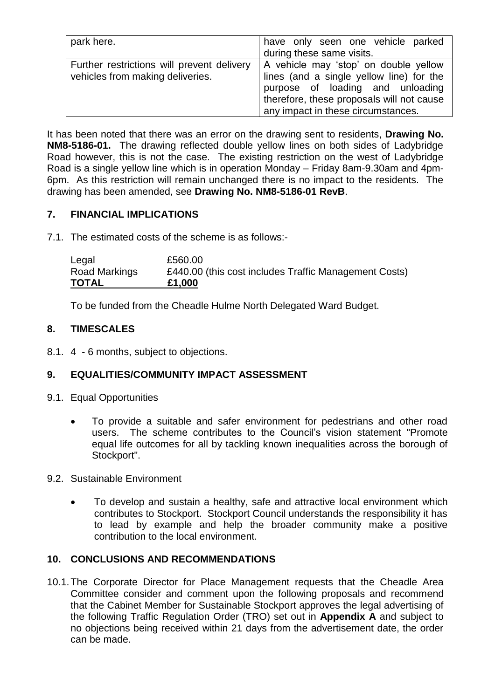| park here.                                                                     | have only seen one vehicle parked<br>during these same visits.                                                                                                                                           |
|--------------------------------------------------------------------------------|----------------------------------------------------------------------------------------------------------------------------------------------------------------------------------------------------------|
| Further restrictions will prevent delivery<br>vehicles from making deliveries. | A vehicle may 'stop' on double yellow<br>lines (and a single yellow line) for the<br>purpose of loading and unloading<br>therefore, these proposals will not cause<br>any impact in these circumstances. |

It has been noted that there was an error on the drawing sent to residents, **Drawing No. NM8-5186-01.** The drawing reflected double yellow lines on both sides of Ladybridge Road however, this is not the case. The existing restriction on the west of Ladybridge Road is a single yellow line which is in operation Monday – Friday 8am-9.30am and 4pm-6pm. As this restriction will remain unchanged there is no impact to the residents. The drawing has been amended, see **Drawing No. NM8-5186-01 RevB**.

# **7. FINANCIAL IMPLICATIONS**

7.1. The estimated costs of the scheme is as follows:-

| Legal         | £560.00                                               |
|---------------|-------------------------------------------------------|
| Road Markings | £440.00 (this cost includes Traffic Management Costs) |
| <b>TOTAL</b>  | £1,000                                                |

To be funded from the Cheadle Hulme North Delegated Ward Budget.

# **8. TIMESCALES**

8.1. 4 - 6 months, subject to objections.

# **9. EQUALITIES/COMMUNITY IMPACT ASSESSMENT**

- 9.1. Equal Opportunities
	- To provide a suitable and safer environment for pedestrians and other road users. The scheme contributes to the Council's vision statement "Promote equal life outcomes for all by tackling known inequalities across the borough of Stockport".
- 9.2. Sustainable Environment
	- To develop and sustain a healthy, safe and attractive local environment which contributes to Stockport. Stockport Council understands the responsibility it has to lead by example and help the broader community make a positive contribution to the local environment.

# **10. CONCLUSIONS AND RECOMMENDATIONS**

10.1.The Corporate Director for Place Management requests that the Cheadle Area Committee consider and comment upon the following proposals and recommend that the Cabinet Member for Sustainable Stockport approves the legal advertising of the following Traffic Regulation Order (TRO) set out in **Appendix A** and subject to no objections being received within 21 days from the advertisement date, the order can be made.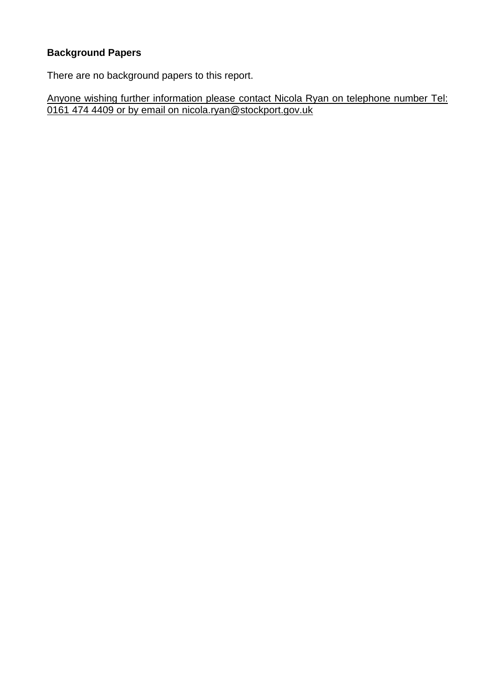# **Background Papers**

There are no background papers to this report.

Anyone wishing further information please contact Nicola Ryan on telephone number Tel: 0161 474 4409 or by email on nicola.ryan@stockport.gov.uk